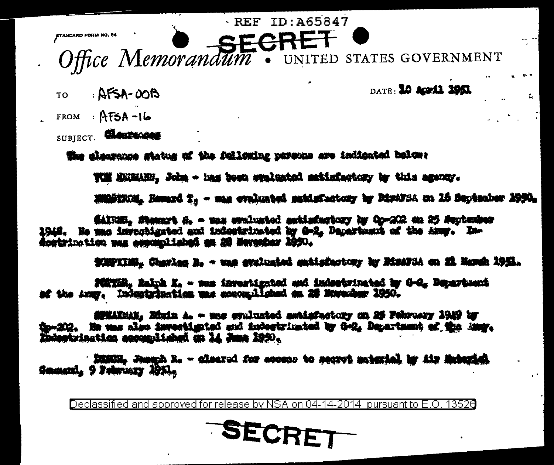STANDARD FORM NO. 64

Office Memorandum . UNITED STATES GOVERNMENT

**REF ID: A65847** 

 $.$ AFSA-00B TO.

DATE: 10 April 1951

FROM :  $AFSA -16$ 

SUBJECT. CONTRACT

The classance status of the following persons are indicated below:

THE ENGELHE. John - has been sunlusted satisfactory by this agency.

Midskon, Homand T, - man evaluated antisfactory by Diviron on 16 September 1950.

diffinit, stemmet S. - was evaluated astisfactory by Op-202 an 25 September<br>1948. He mas investigated and indestrimated by O-2, Department of the Amy. Indoutrination was espamplished an 20 Mercuber 1950.

TOMPATON, Charles B, - was swallated extistentowy by DisaFSA on 22 Namen 1951.

PONTER, Ralph X. - was investigated and indestrinated by G-2. Department of the Army. Indestrination was secondisted on 28 November 1950.

difficult. Eduin A. - une evaluated astisfactory on 25 February 1949 by -202. He was also investigated and indeptrimated by G-2. Department of the Amer. hdestrination accountined on 11 June 1990.

· BESCH. Jamech R. - claered for access to secret material by Air Material General, 9 February 1951.

Declassified and approved for release by NSA on 04-14-2014 pursuant to E.O. 13526

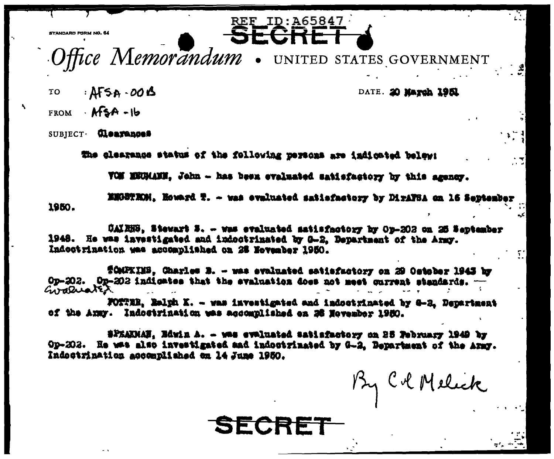STANDARD FORM NO. 64

Office Memorandum . UNITED STATES GOVERNMENT

**REF ID: A65847** SFCRFT

 $AFS_A.00B$ TO.

DATE. 20 March 1951

FROM  $\cdot$  AFSA - 1b

SUBIECT- Clearances

The clearance status of the following persons are indicated below:

VOM MEUMANN. John - has been evaluated satisfactory by this agency.

**ENGSTROM, Howard T. - was evaluated satisfactory by DiraVSA on 16 September** 1950.

CAIRES, Stewart 3. - was evaluated satisfactory by Op-202 on 25 September 1948. He was investigated and indoctrinated by G-2. Department of the Army. Indoctrination was accomplished on 28 November 1950.

TOMPKINS. Charles B. - was evaluated satisfactory on 29 Ostober 1943 by Op-202. Op-202 indigates that the evaluation does not meet current standards. Giraluater

FOTTER, Ealph K. - was investigated and indoctrinated by 0-2. Department of the Army. Indoctrination was accomplished on 26 November 1980.

#PEAKMAN. Bdwin A. - was evaluated satisfactory on 25 February 1949 by Op-202. He was also investigated and indoctrinated by G-2. Department of the Army. Indoctrination accomplished on 14 June 1950.

ECRE

By Col Melick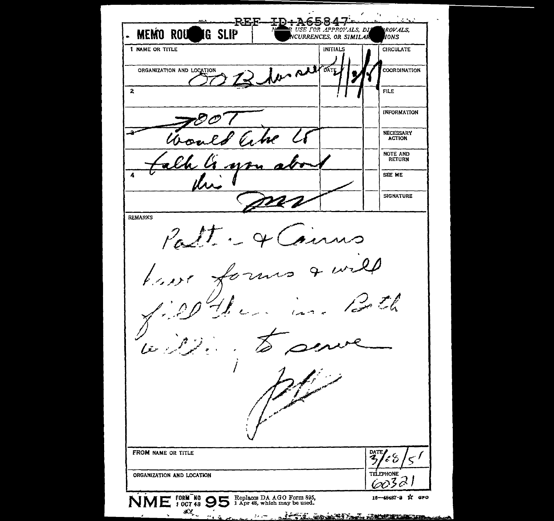$\mathcal{A}=\mathcal{A}$  . ED÷A6 584 .<br>USE FOR APPROVALS, DIE<br>NCURRENCES, OR SIMILAR ROVALS. **MEMO ROUT IG SLIP TONS** 1 NAME OR TITLE **INITIALS CIRCULATE** then set DATE ORGANIZATION AND LOCATION COORDINATION  $\overline{\mathbf{z}}$ **FILE INFORMATION** NECESSARY<br>ACTION NOTE AND<br>RETURN SEE ME **SIGNATURE REMARKS** Past. karot .  $\frac{1}{2}$ Li FROM NAME OR TITLE DATE<br>31 Ъ  $\varsigma'$ TELEPHONE ORGANIZATION AND LOCATION 6032 NME FORM NO 95 Replaces DA AGO Form 895, 16-48487-3 ☆ ато ÆZ. <u> 1977 - AL KALENNA HAL KANCELLIN</u>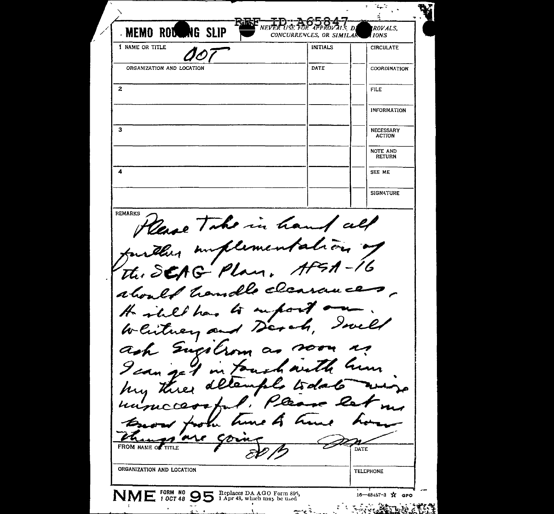$L_{\mu}$  's  $\mathcal{L}^{\mathcal{L}}$ ń ROVALS, D **MEMO ROD NG SLIP** CONCURRENCES, OR SIMILAL **IONS 1 NAME OR TITLE INITIALS CIRCULATE** ORGANIZATION AND LOCATION DATE **COORDINATION**  $\overline{2}$ **FILE INFORMATION**  $\overline{\mathbf{3}}$ NECESSARY **ACTION** NOTE AND **RETURN** 4 SEE ME **SIGNATURE REMARKS** Heave Take in hand all further implementation the SEAG Plan. about handle clc It illle has to supo Twell Weitnen an Engelson as  $\boldsymbol{\sim}$ ash me tome - $\overline{A}$ thre FROM NAME OF TITLE DATE ORGANIZATION AND LOCATION **TELLPHONE** FORM NO Replaces DA AGO Form 895, **NME** FORM NO  $9$ 16-48457-3 ☆ сго **Address of the Address**  $\tilde{z}$  $\Delta$ تجانيب Ą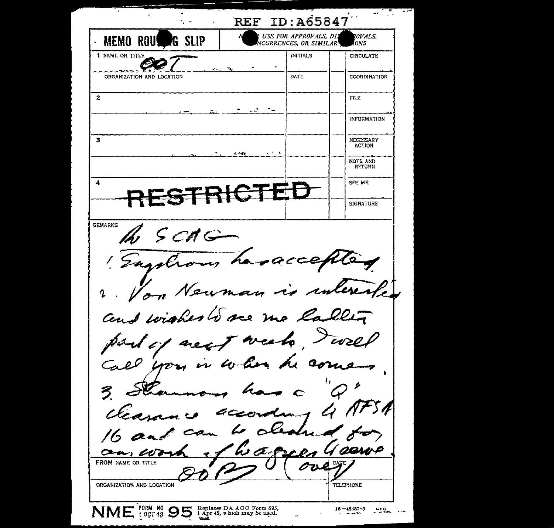$\frac{1}{2}$  ,  $\frac{1}{2}$  ,  $\frac{1}{2}$  ,  $\frac{1}{2}$ REF ID: A65847 化学  $\overline{1}$ ROVALS. USE FOR APPROVALS, DIS **PG SLIP MEMO ROUS** NCURRENCES, OR SIMILAR **TONS** 1 NAME OR TITLE **INITIALS CIRCULATE** and the con-ORGANIZATION AND LOCATION **DATE COORDINATION**  $\mathbf{2}$ FILE  $\ddotsc$  $\tilde{\phantom{a}}$ **INFORMATION**  $\mathbf{3}$ **NECESSARY** ACTION  $\sqrt{2}$  ,  $\approx$ **AMY** NOTE AND **RETURN**  $\overline{\mathbf{4}}$ SEE ME **SIGNATURE REMARKS**  $SCAC$ hasacces HLQ zaskrom interente - New a na n.  $\mathbf{Q}$  $n$  see up  $\ell$  $\ell\ell\mathcal{L}$ Cent با مرد کرد . weath  $>$ a D مے  $\boldsymbol{\mathcal{L}}_{\boldsymbol{U}}$  $42$  $\boldsymbol{\mathscr{L}}$  $\tilde{\mathcal{Z}}$  $16$  and  $\omega$  and esop  $\alpha$ FROM NAME OR TITLE ORGANIZATION AND LOCATION **TELEPHONE** NME FORM NO 95 Replaces DA AGO Form 893,  $16 - 48187 - 3$ **GPO** LL a a bh цъ.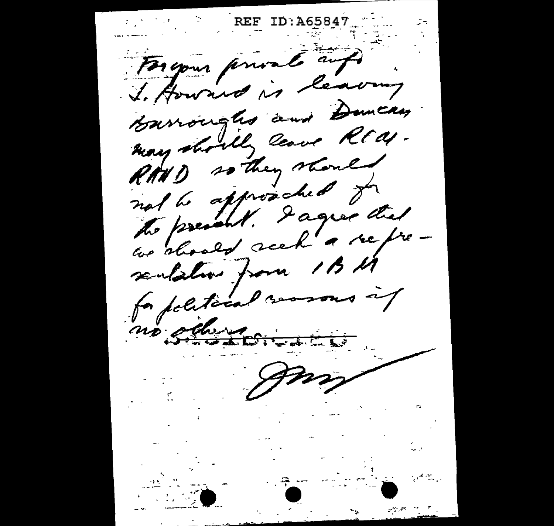REF ID:A65847 Forgour private auf I. Howard is leaving Barroughs and Domican may should cease Rtal. RAND so they should not to approached for the present. I agree that ne dhould acel a representation from 1BM fa political reasons it no seu civa Amy  $\mathcal{O}(\sqrt{2\pi})$ - ಕೂಡ ಸಿಂಗ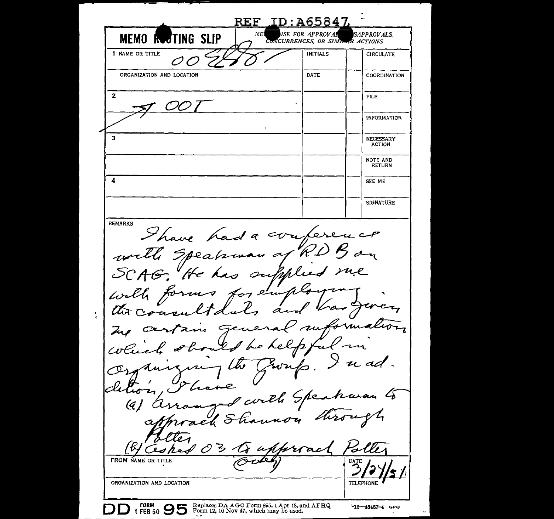REF. ID:A65847 USE FOR APPROVAL SAPPROVALS, **MEMO RESTING SLIP**  $NE$ **CONCURRENCES, OR SIMILAR ACTIONS 1 NAME OR TITLE** INITIALS CIRCULATE ORGANIZATION AND LOCATION DATE COORDINATION **2**  FILE ä. INFORMATION **3**  NECESSARY ACTION NOTE AND RETURN **4**  SEE ME **SIGNATURE REMARKS** Shave had a conference with Speakman of RD SCAG. He has supplied with forms for em at Couse  $\boldsymbol{\mathcal{u}}$ Zu  $\mathscr{L}$ d Le م coli  $ad.$ lkr ∕ం. ∼с le tro haran 4 corth  $\triangledown$  $\left( q\right)$  $f\mathcal{A}$ Faller<br>(B) Ceshed O3 to approach Paller  $\frac{1}{\sqrt{1-\frac{1}{\sqrt{1-\frac{1}{2}}}}}\sqrt{\frac{1}{\sqrt{1-\frac{1}{2}}}}$ Replaces DA AGO Form 895, 1 Apr 18, and AFHQ<br>Form 12, 10 Nov 47, which may be used.  $48487 - 48487$